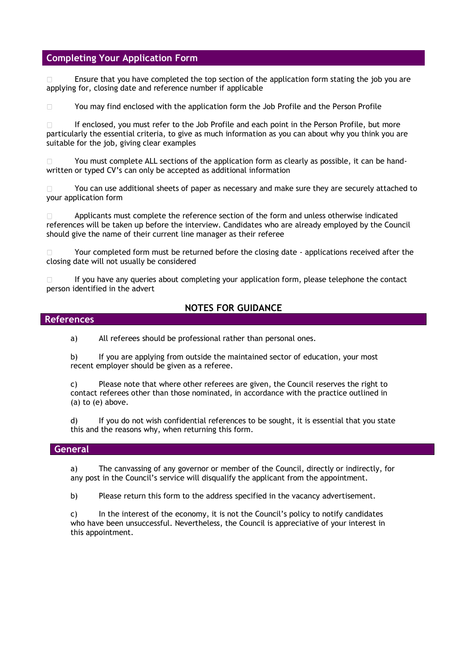## **Completing Your Application Form**

Ensure that you have completed the top section of the application form stating the job you are  $\Box$ applying for, closing date and reference number if applicable

 $\Box$ You may find enclosed with the application form the Job Profile and the Person Profile

If enclosed, you must refer to the Job Profile and each point in the Person Profile, but more  $\Box$ particularly the essential criteria, to give as much information as you can about why you think you are suitable for the job, giving clear examples

You must complete ALL sections of the application form as clearly as possible, it can be hand- $\Box$ written or typed CV's can only be accepted as additional information

You can use additional sheets of paper as necessary and make sure they are securely attached to your application form

Applicants must complete the reference section of the form and unless otherwise indicated  $\Box$ references will be taken up before the interview. Candidates who are already employed by the Council should give the name of their current line manager as their referee

Your completed form must be returned before the closing date - applications received after the  $\Box$ closing date will not usually be considered

If you have any queries about completing your application form, please telephone the contact person identified in the advert

## **NOTES FOR GUIDANCE**

### **References**

a) All referees should be professional rather than personal ones.

b) If you are applying from outside the maintained sector of education, your most recent employer should be given as a referee.

c) Please note that where other referees are given, the Council reserves the right to contact referees other than those nominated, in accordance with the practice outlined in (a) to (e) above.

d) If you do not wish confidential references to be sought, it is essential that you state this and the reasons why, when returning this form.

## **General**

a) The canvassing of any governor or member of the Council, directly or indirectly, for any post in the Council's service will disqualify the applicant from the appointment.

b) Please return this form to the address specified in the vacancy advertisement.

c) In the interest of the economy, it is not the Council's policy to notify candidates who have been unsuccessful. Nevertheless, the Council is appreciative of your interest in this appointment.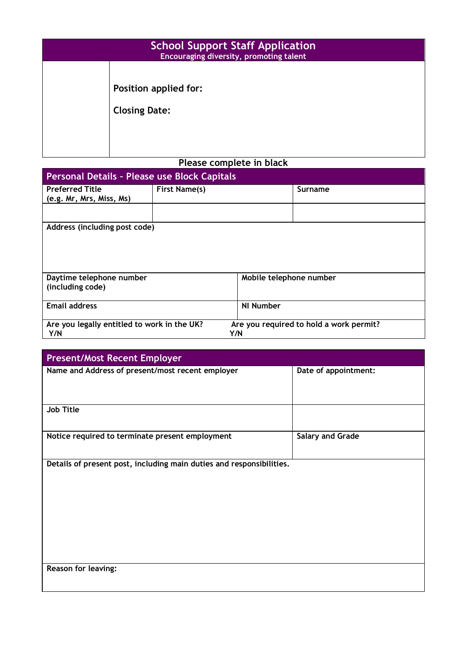| <b>School Support Staff Application</b><br>Encouraging diversity, promoting talent |                                               |  |
|------------------------------------------------------------------------------------|-----------------------------------------------|--|
|                                                                                    | Position applied for:<br><b>Closing Date:</b> |  |
| Please complete in black                                                           |                                               |  |

| Personal Details - Please use Block Capitals              |                      |                         |                                         |  |  |
|-----------------------------------------------------------|----------------------|-------------------------|-----------------------------------------|--|--|
| <b>Preferred Title</b><br>(e.g. Mr, Mrs, Miss, Ms)        | <b>First Name(s)</b> |                         | Surname                                 |  |  |
|                                                           |                      |                         |                                         |  |  |
| Address (including post code)                             |                      |                         |                                         |  |  |
|                                                           |                      |                         |                                         |  |  |
| Daytime telephone number<br>(including code)              |                      | Mobile telephone number |                                         |  |  |
| <b>Email address</b>                                      |                      | <b>NI Number</b>        |                                         |  |  |
| Are you legally entitled to work in the UK?<br>Y/N<br>Y/N |                      |                         | Are you required to hold a work permit? |  |  |

| <b>Present/Most Recent Employer</b>                                  |                         |
|----------------------------------------------------------------------|-------------------------|
| Name and Address of present/most recent employer                     | Date of appointment:    |
| <b>Job Title</b>                                                     |                         |
| Notice required to terminate present employment                      | <b>Salary and Grade</b> |
| Details of present post, including main duties and responsibilities. |                         |
| <b>Reason for leaving:</b>                                           |                         |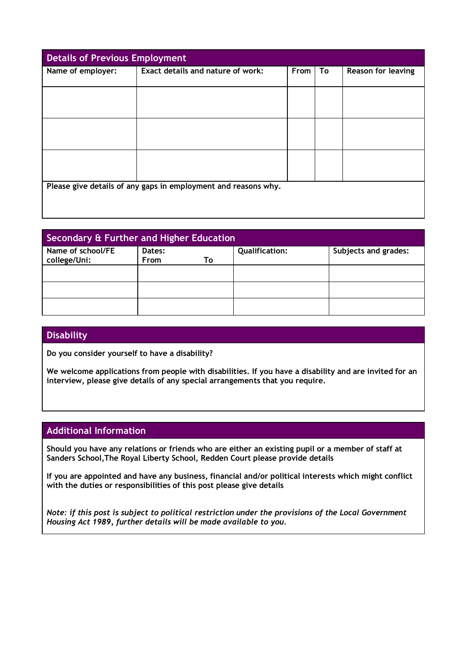| <b>Details of Previous Employment</b>                          |                                   |      |    |                           |  |
|----------------------------------------------------------------|-----------------------------------|------|----|---------------------------|--|
| Name of employer:                                              | Exact details and nature of work: | From | To | <b>Reason for leaving</b> |  |
|                                                                |                                   |      |    |                           |  |
|                                                                |                                   |      |    |                           |  |
|                                                                |                                   |      |    |                           |  |
|                                                                |                                   |      |    |                           |  |
|                                                                |                                   |      |    |                           |  |
|                                                                |                                   |      |    |                           |  |
|                                                                |                                   |      |    |                           |  |
|                                                                |                                   |      |    |                           |  |
|                                                                |                                   |      |    |                           |  |
|                                                                |                                   |      |    |                           |  |
| Please give details of any gaps in employment and reasons why. |                                   |      |    |                           |  |
|                                                                |                                   |      |    |                           |  |
|                                                                |                                   |      |    |                           |  |
|                                                                |                                   |      |    |                           |  |

| Secondary & Further and Higher Education |                |    |                       |                      |
|------------------------------------------|----------------|----|-----------------------|----------------------|
| Name of school/FE<br>college/Uni:        | Dates:<br>From | To | <b>Qualification:</b> | Subjects and grades: |
|                                          |                |    |                       |                      |
|                                          |                |    |                       |                      |
|                                          |                |    |                       |                      |

# **Disability**

**Do you consider yourself to have a disability?** 

**We welcome applications from people with disabilities. If you have a disability and are invited for an interview, please give details of any special arrangements that you require.**

## **Additional Information**

**Should you have any relations or friends who are either an existing pupil or a member of staff at Sanders School,The Royal Liberty School, Redden Court please provide details**

**If you are appointed and have any business, financial and/or political interests which might conflict with the duties or responsibilities of this post please give details**

*Note: if this post is subject to political restriction under the provisions of the Local Government Housing Act 1989, further details will be made available to you.*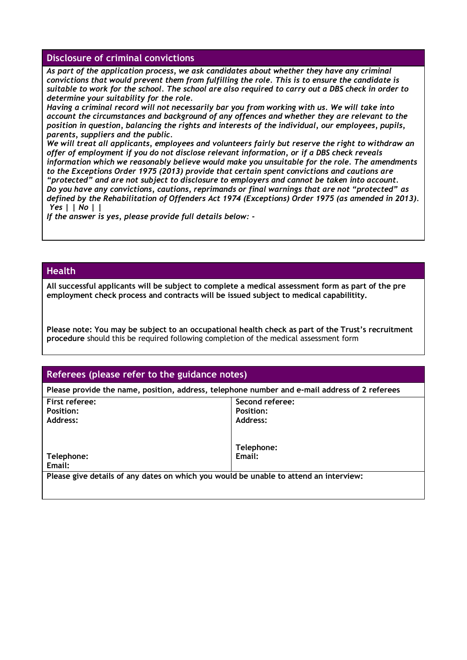## **Disclosure of criminal convictions**

*As part of the application process, we ask candidates about whether they have any criminal convictions that would prevent them from fulfilling the role. This is to ensure the candidate is suitable to work for the school. The school are also required to carry out a DBS check in order to determine your suitability for the role.*

*Having a criminal record will not necessarily bar you from working with us. We will take into account the circumstances and background of any offences and whether they are relevant to the position in question, balancing the rights and interests of the individual, our employees, pupils, parents, suppliers and the public.*

*We will treat all applicants, employees and volunteers fairly but reserve the right to withdraw an offer of employment if you do not disclose relevant information, or if a DBS check reveals information which we reasonably believe would make you unsuitable for the role. The amendments to the Exceptions Order 1975 (2013) provide that certain spent convictions and cautions are "protected" and are not subject to disclosure to employers and cannot be taken into account. Do you have any convictions, cautions, reprimands or final warnings that are not "protected" as defined by the Rehabilitation of Offenders Act 1974 (Exceptions) Order 1975 (as amended in 2013). Yes | | No | |*

*If the answer is yes, please provide full details below: -*

## **Health**

**All successful applicants will be subject to complete a medical assessment form as part of the pre employment check process and contracts will be issued subject to medical capabilitity.** 

**Please note: You may be subject to an occupational health check as part of the Trust's recruitment procedure** should this be required following completion of the medical assessment form

## **Referees (please refer to the guidance notes)**

**Please provide the name, position, address, telephone number and e-mail address of 2 referees First referee: Position: Address: Telephone: Email: Second referee: Position: Address: Telephone: Email: Please give details of any dates on which you would be unable to attend an interview:**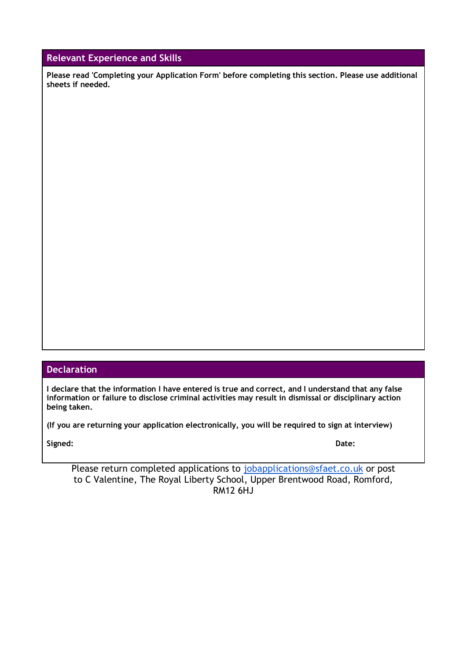# **Relevant Experience and Skills**

**Please read 'Completing your Application Form' before completing this section. Please use additional sheets if needed.**

# **Declaration**

**I declare that the information I have entered is true and correct, and I understand that any false information or failure to disclose criminal activities may result in dismissal or disciplinary action being taken.**

**(If you are returning your application electronically, you will be required to sign at interview)**

**Signed: Date:**

Please return completed applications to [jobapplications@sfaet.co.uk](mailto:jobapplications@sfaet.co.uk) or post to C Valentine, The Royal Liberty School, Upper Brentwood Road, Romford, RM12 6HJ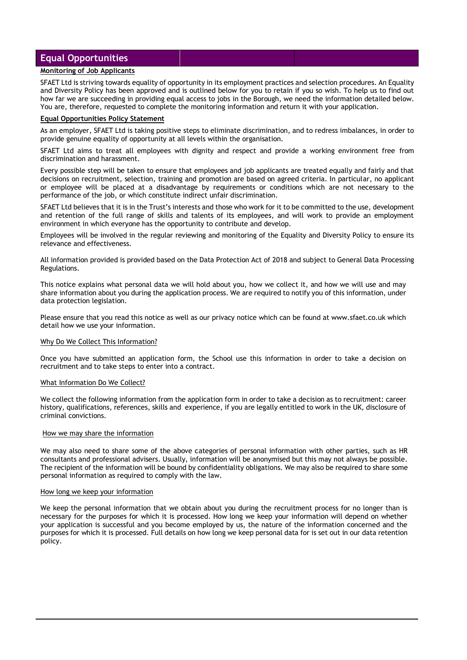## **Equal Opportunities**

### **Monitoring of Job Applicants**

SFAET Ltd is striving towards equality of opportunity in its employment practices and selection procedures. An Equality and Diversity Policy has been approved and is outlined below for you to retain if you so wish. To help us to find out how far we are succeeding in providing equal access to jobs in the Borough, we need the information detailed below. You are, therefore, requested to complete the monitoring information and return it with your application.

### **Equal Opportunities Policy Statement**

As an employer, SFAET Ltd is taking positive steps to eliminate discrimination, and to redress imbalances, in order to provide genuine equality of opportunity at all levels within the organisation.

SFAET Ltd aims to treat all employees with dignity and respect and provide a working environment free from discrimination and harassment.

Every possible step will be taken to ensure that employees and job applicants are treated equally and fairly and that decisions on recruitment, selection, training and promotion are based on agreed criteria. In particular, no applicant or employee will be placed at a disadvantage by requirements or conditions which are not necessary to the performance of the job, or which constitute indirect unfair discrimination.

SFAET Ltd believes that it is in the Trust's interests and those who work for it to be committed to the use, development and retention of the full range of skills and talents of its employees, and will work to provide an employment environment in which everyone has the opportunity to contribute and develop.

Employees will be involved in the regular reviewing and monitoring of the Equality and Diversity Policy to ensure its relevance and effectiveness.

All information provided is provided based on the Data Protection Act of 2018 and subject to General Data Processing Regulations.

This notice explains what personal data we will hold about you, how we collect it, and how we will use and may share information about you during the application process. We are required to notify you of this information, under data protection legislation.

Please ensure that you read this notice as well as our privacy notice which can be found at www.sfaet.co.uk which detail how we use your information.

#### Why Do We Collect This Information?

Once you have submitted an application form, the School use this information in order to take a decision on recruitment and to take steps to enter into a contract.

### What Information Do We Collect?

We collect the following information from the application form in order to take a decision as to recruitment: career history, qualifications, references, skills and experience, if you are legally entitled to work in the UK, disclosure of criminal convictions.

### How we may share the information

We may also need to share some of the above categories of personal information with other parties, such as HR consultants and professional advisers. Usually, information will be anonymised but this may not always be possible. The recipient of the information will be bound by confidentiality obligations. We may also be required to share some personal information as required to comply with the law.

#### How long we keep your information

We keep the personal information that we obtain about you during the recruitment process for no longer than is necessary for the purposes for which it is processed. How long we keep your information will depend on whether your application is successful and you become employed by us, the nature of the information concerned and the purposes for which it is processed. Full details on how long we keep personal data for is set out in our data retention policy.